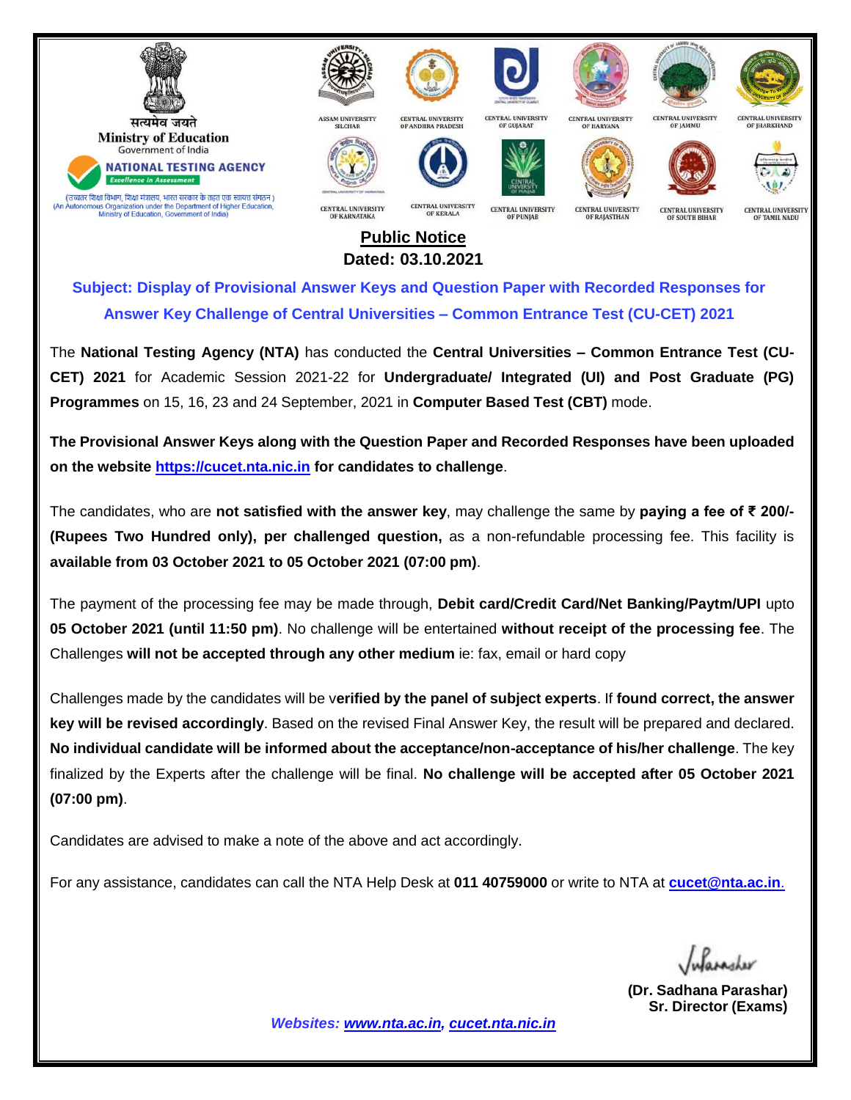

## **Public Notice Dated: 03.10.2021**

**Subject: Display of Provisional Answer Keys and Question Paper with Recorded Responses for Answer Key Challenge of Central Universities – Common Entrance Test (CU-CET) 2021**

The **National Testing Agency (NTA)** has conducted the **Central Universities – Common Entrance Test (CU-CET) 2021** for Academic Session 2021-22 for **Undergraduate/ Integrated (UI) and Post Graduate (PG) Programmes** on 15, 16, 23 and 24 September, 2021 in **Computer Based Test (CBT)** mode.

**The Provisional Answer Keys along with the Question Paper and Recorded Responses have been uploaded on the website [https://cucet.nta.nic.in](https://cucet.nta.nic.in/) for candidates to challenge**.

The candidates, who are **not satisfied with the answer key**, may challenge the same by **paying a fee of ₹ 200/- (Rupees Two Hundred only), per challenged question,** as a non-refundable processing fee. This facility is **available from 03 October 2021 to 05 October 2021 (07:00 pm)**.

The payment of the processing fee may be made through, **Debit card/Credit Card/Net Banking/Paytm/UPI** upto **05 October 2021 (until 11:50 pm)**. No challenge will be entertained **without receipt of the processing fee**. The Challenges **will not be accepted through any other medium** ie: fax, email or hard copy

Challenges made by the candidates will be v**erified by the panel of subject experts**. If **found correct, the answer key will be revised accordingly**. Based on the revised Final Answer Key, the result will be prepared and declared. **No individual candidate will be informed about the acceptance/non-acceptance of his/her challenge**. The key finalized by the Experts after the challenge will be final. **No challenge will be accepted after 05 October 2021 (07:00 pm)**.

Candidates are advised to make a note of the above and act accordingly.

For any assistance, candidates can call the NTA Help Desk at **011 40759000** or write to NTA at **[cucet@nta.ac.in](mailto:cucet@nta.ac.in)**.

 **(Dr. Sadhana Parashar) Sr. Director (Exams)**

*Websites: [www.nta.ac.in,](http://www.nta.ac.in/) [cucet.nta.nic.in](https://cucet.nta.nic.in/)*